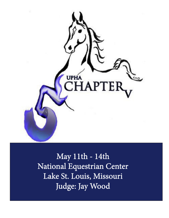

May 11th - 14th National Equestrian Center Lake St. Louis, Missouri Judge: Jay Wood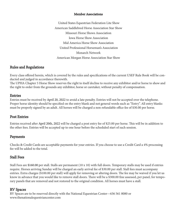#### Member Associations

 United States Equestrian Federation Lite Show American Saddlebred Horse Association Star Show Missouri Horse Shows Association Iowa Horse Show Association Mid America Horse Show Association United Professional Horseman's Association Monarch Network American Morgan Horse Association Star Show

#### Rules and Regulations

Every class offered herein, which is covered by the rules and specifications of the current USEF Rule Book will be conducted and judged in accordance therewith.

The UPHA Chapter 5 Horse Show reserves the right to itself decline to receive any exhibitor and/or horse to show and the right to order from the grounds any exhibitor, horse or caretaker, without penalty of compensation.

#### Entries

Entries must be received by April 20, 2022 to avoid a late penalty. Entries will not be accepted over the telephone. Proper horse identity should be specified on the entry blank and not general words such as "Entry". All entry blanks must be properly signed by an adult. All horses will be charged a non refundable office fee of \$30.00 per horse.

#### Post Entries

Entries received after April 20th, 2022 will be charged a post entry fee of \$25.00 per horse. This will be in addition to the other fees. Entries will be accepted up to one hour before the scheduled start of each session.

#### Payments

Checks & Credit Cards are acceptable payments for your entries. If you choose to use a Credit Card a 4% processing fee will be added to the total.

#### Stall Fees

Stall Fees are \$160.00 per stall. Stalls are permanent (10 x 10) with full doors. Temporary stalls may be used if entries require. Horses arriving Sunday will be charged an early arrival fee of \$30.00 per stall. Stall fees must accompany entries. Extra charges (\$100.00 per stall) will apply for removing or altering doors. The fee may be waived if you let us know in advance that you would like to remove stall doors. There will be a \$300.00 fine assessed, per panel, for temporary panels that are removed and not restored to the original condition. All horses must have a stall.

#### RV Spaces

RV Spaces are to be reserved directly with the National Equestrian Center—636 561 8080 or www.thenationalequestriancenter.com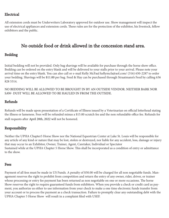#### Electrical

All extension cords must be Underwriters Laboratory approved for outdoor use. Show management will inspect the use of electrical appliances and extension cords. These rules are for the protection of the exhibitor, his livestock, fellow exhibitors and the public.

# No outside food or drink allowed in the concession stand area.

#### Bedding

Initial bedding will not be provided. Only bag shavings will be available for purchase through the horse show office. Bedding can be ordered on the entry blank and will be delivered to your stalls prior to your arrival. Please note your arrival time on the entry blank. You can also call or e-mail Kelly McFaul kellymcfa@aol.com/ (316) 650-2287 to order your bedding. Shavings will be \$11.00 per bag. Feed & Hay can be purchased through Straatmann's Feed by calling 636 828 5314.

#### NO BEDDING WILL BE ALLOWED TO BE BROUGHT IN BY AN OUTSIDE VENDOR. NEITHER BARK NOR SAW- DUST WILL BE ALLOWED TO BE HAULED IN FROM THE OUTSIDE.

#### Refunds

Refunds will be made upon presentation of a Certificate of Illness issued by a Veterinarian on official letterhead stating the illness or lameness. Fees will be refunded minus a \$15.00 scratch fee and the non refundable office fee. Refunds for stall requests after April 20th, 2022 will not be honored.

#### Responsibility

Neither the UPHA Chapter5 Horse Show nor the National Equestrian Center at Lake St. Louis will be responsible for any article of any kind or nature that may be lost, stolen or destroyed, nor liable for any accident, loss, damage or injury that may occur to an Exhibitor, Owner, Trainer, Agent, Caretaker, Individual or Spectator Sustained while at the UPHA Chapter 5 Horse Show. This shall be incorporated as a condition of entry or admittance to the show.

#### Fees

Payment of all fees must be made in US Funds. A penalty of \$50.00 will be charged for all non negotiable funds. Management reserves the right to prohibit from competition and return the entry of any owner, rider, driver, or trainer whose processing or entry fee payment has been returned as non negotiable on one or more occasions. The horse Show reserves the right to require guaranteed funds from exhibitors. When you provide a check or credit card as payment, you authorize us either to use information from your check to make a one time electronic funds transfer from your account or to process the payment as a check transaction. Failure to promptly clear any outstanding debt with the UPHA Chapter 5 Horse Show will result in a complaint filed with USEF.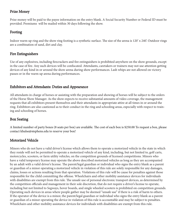#### Prize Money

Prize money will be paid to the payee information on the entry blank. A Social Security Number or Federal ID must be provided. Premiums will be mailed within 30 days following the show.

#### Footing

Indoor warm up ring and the show ring footing is a synthetic surface. The size of the arena is 120' x 240'. Outdoor rings are a combination of sand, dirt and clay.

#### Fire Extinguishers

Use of any explosives, including firecrackers and fire extinguishers is prohibited anywhere on the show grounds, except in the case of fire. Any such devices will be confiscated. Attendants, caretakers or trainers may not use attention getting devices of any kind in or around the show arena during show performances. Lash whips are not allowed on victory passes or in the warm up arena during performances.

#### Exhibitors and Attendants: Duties and Appearance

All attendants in charge of horses or assisting with the preparation and showing of horses will be subject to the orders of the Horse Show Manager. As the show expects to receive substantial amounts of video coverage, the management requests that all exhibitors present themselves and their attendants in appropriate attire at all times in or around the ring. Exhibitors are also cautioned as to their conduct in the ring and schooling areas, especially with respect to training and schooling of horses.

#### Box Seating

A limited number of party boxes (8 seats per box) are available. The cost of each box is \$250.00 To request a box, please contact khulse@stephens.edu to reserve your box!

#### Motorized Vehicle

Minors who do not have a valid driver's license which allows them to operate a motorized vehicle in the state in which they reside will not be permitted to operate a motorized vehicle of any kind, including, but not limited to, golf carts, motorcycles, scooters, or farm utility vehicles, on the competition grounds of licensed competitions. Minors who have a valid temporary license may operate the above described motorized vehicles as long as they are accompanied by an adult with a valid driver's license. The parent/legal guardian or individual who signs the entry blank as a parent or guardian of a minor operating a motorized vehicle in violation of this rule are solely responsible for any damages, claims, losses or actions resulting from that operation. Violations of this rule will be cause for penalties against those responsible for the child committing the offense. Wheelchairs and other mobility assistance devices for individuals with disabilities are exempt from this rule. The unsafe use of personal electronic transport devices, as determined by the competition officials and management in their sole discretion, that do not require a driver's license to operate, including but not limited to Segways, hover boards, and single wheeled scooters is prohibited on competition grounds. Operating such devices in areas where people gather may be deemed "unsafe use" if there is a risk of harm to others. If the operator of the device is a minor, the parent/legal guardian or individual who signs the entry blank as a parent or guardian of a minor operating the device in violation of this rule is accountable and may be subject to penalties. Wheelchairs and other mobility assistance devices for individuals with disabilities are exempt from this rule.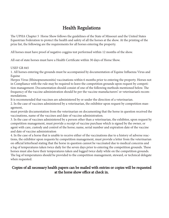# Health Regulations

The UPHA Chapter 5 Horse Show follows the guidelines of the State of Missouri and the United States Equestrian Federation to protect the health and safety of all the horses at the show. At the printing of the prize list, the following are the requirements for all horses entering the property.

All horses must have proof of negative coggins test performed within 12 months of the show.

All out of state horses must have a Health Certificate within 30 days of Horse Show.

#### USEF GR 845

1. All horses entering the grounds must be accompanied by documentation of Equine Influenza Virus and Equine

Herpes Virus (Rhinopneumonitis) vaccinations within 6 months prior to entering the property. Horses not in Compliance with the rule may be required to leave the competition grounds upon request by competition management. Documentation should consist of one of the following methods mentioned below. The frequency of the vaccine administration should be per the vaccine manufacturers' or veterinarian's recommendations.

It is recommended that vaccines are administered by or under the direction of a veterinarian.

2. In the case of vaccines administered by a veterinarian, the exhibitor upon request by competition management,

must provide documentation from the veterinarian on documenting that the horse in question received the vaccinations, name of the vaccines and date of vaccine administration.

3. In the case of vaccines administered by a person other than a veterinarian, the exhibitor, upon request by competition management, must provide a receipt of vaccine purchase which is signed by the owner, or agent with care, custody and control of the horse; name, serial number and expiration date of the vaccine and date of vaccine administration

4. In the case of a horse that is unable to receive either of the vaccinations due to a history of adverse reactions, the exhibitor upon requests by competition management, must provide a letter from the veterinarian on official letterhead stating that the horse in question cannot be vaccinated due to medical concerns and a log of temperatures taken twice daily for the seven days prior to entering the competition grounds. These horses must also have their temperatures taken and logged twice daily while on the competition grounds. The log of temperatures should be provided to the competition management, steward, or technical delegate when requested.

#### Copies of all necessary health papers can be mailed with entries or copies will be requested at the horse show office at check in.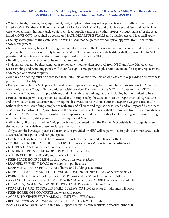#### The established MOVE-IN for this EVENT may begin no earlier than 10:00a on Mon 05/09/22 and the established MOVE-OUT must be complete no later than 10:00a on Sunday 05/15/22

• When animals, humans, tack, equipment, feed, supplies and/or any other property occupy stalls prior to the established MOVE- IN, these shall be considered EARLY ARRIVAL STALLS and billable rates and fees shall apply. Likewise, when animals, humans, tack, equipment, feed, supplies and/or any other property occupy stalls after the established MOVE-OUT, these shall be considered LATE DEPARTURE STALLS and billable rates and fees shall apply • Facility access prior to the established MOVE-IN shall not be granted without prior approval from Facility and Show Management

• NEC requires two (2) bales of bedding coverage at all times on the floor of each animal-occupied stall, and all bedding must be purchased exclusively from the Facility. No shavings or alternate bedding shall be brought onto NEC premises (all veterinary exceptions must be approved in advance by NEC).

• Bedding, once delivered, cannot be returned for a refund

• Stall panels may not be disassembled or removed without explicit approval from NEC and Show Management. Disassembling and removing panels will incur fees up to \$300 per panel plus reimbursement for repairs/replacement of damaged or defaced property

• All hay and bedding must be purchased from NEC. No outside retailers or wholesalers may provide or deliver these products to the Facility

• Every equine entering NEC property must be accompanied by a negative Equine Infectious Anemia (EIA) Report, commonly called a Coggins Test, conducted within twelve (12) months of the MOVE-IN date for the EVENT. Every equine at NEC must com- ply with any and all health rules and regulations, including but not limited to health certification and permit acquisition, as issued and/or imposed by the State of Missouri Department of Agriculture and the Missouri State Veterinarian. Any equine discovered to be without a current, negative Coggins Test and/or without documents verifying compliance with any and all rules and regulations is- sued and/or imposed by the State of Missouri Department of Agriculture and the Missouri State Veterinarian shall be removed from NEC immediately and that LICENSEE shall be responsible for all expenses incurred by the Facility for eliminating and/or minimizing resulting bio-security risks presented to other equines at NEC.

• All rented golf carts utilized on NEC property must be rented from the Facility. NO outside leasing agents or entities may provide or deliver these products to the Facility

• Only alcoholic beverages purchased from and/or provided by NEC will be permitted in public common areas such as arenas, lobbies, patios and banquet spaces

- Exhibitors please be aware of the following, important directions and policies for the NEC:
- SMOKING IS STRICTLY PROHIBITED BY St. Charles County & Lake St. Louis ordinances
- NO OPEN FLAMES in barns or indoors at any time
- LUNGING IS PERMITTED in DESIGNATED AREAS ONLY
- ALL UNATTENDED HORSES must be STALLED
- KEEP BLACK HOOF POLISH on dirt floors or disposal surfaces
- LEASHED, FRIENDLY DOGS are welcome in public areas
- KEEP MOTORIZED VEHICLES out of barns and buildings at all times
- KEEP FIRE LANES, MANURE PITS and UN/LOADING ZONES CLEAR of parked vehicles
- PARK Trailers in Trailer Parking, RVs in RV Parking and Cars/Trucks in Vehicle Parking
- ARRANGE Grey/Black water DUMPING with NEC in advance. MOBILE Services are available
- DEFACING, DAMAGING OR DESTROYING NEC Property will incur fines
- FOR SAFETY, USE NO STAPLES, NAILS, SCREWS, OR HOOKS on or in stalls and stall doors
- KEEP HORSES OFF CONCRETE walkways and patios
- ACCESS TO VIP/RESERVED AREAS is LIMITED to VIP Guests
- REFRAIN from USING DANGEROUS OR DISRUPTIVE MATERIALS

(Such as glass containers, open-flame BBQs, space heaters, electric blankets, fireworks, airhorns)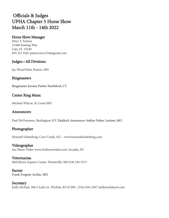# Officials & Judges UPHA Chapter 5 Horse Show March 11th - 14th 2022

#### Horse Show Manager

Peter T. Fenton 21408 Keating Way Lutz, FL 33549 859 321 9281 petervoice1234@gmail.com

#### Judges—All Divisions

Jay Wood Eden Prairie, MN

#### **Ringmasters**

Ringmaster Jerome Parker Northford, CT

#### Center Ring Music

Michael Wilcox, St. Louis MO

#### Announcers

Paul DeVroomen, Burlington, KY, Paddock Announcer Ashlyn Fisher Lentner, MO

#### Photographer

Howard Schatzberg, Cave Creek, AZ— www.howardschatzberg.com

#### Videographer

See Horse Video www.Seehorsevideo.com Arcadia, IN

#### Veterinarian

Mid Rivers Equine Center, Wentzville, MO 636 334 5373

#### Farrier

Frank Forgette Archie, MO

#### **Secretary**

Kelly McFaul, 206 S Lark Ln. Wichita, KS 67209, (316) 650-2287; kellymcfa@aol.com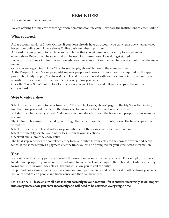# REMINDER!

You can do your entries on line!

We are offering Online entries through www.horseshowsonline.com. Below are the instructions to enter Online.

#### What you need:

A free account at Horse Shows Online. If you don't already have an account you can create one when at www. horseshowsonline.com. Horse Shows Online basic membership is free

A record in your account for each person and horse that you will use on show entry forms when you enter a show. Records will be saved and can be used for future shows. How do I get started::

Login to Horse Shows Online at www.horseshowsonline.com, click on the member services button on the main menu.

Once you are logged in click the "My Horses, People, Shows" button in the member menu

At the People, Horses, Shows page, add any new people and horses to your account as required on the appropriate tab (IE: My People, My Horses). People and horses are saved with your account. Once you have those records in your account you can use them at every show you enter.

Click the "Enter Show" button to select the show you want to enter and follow the steps in the outline entry wizard.

#### Steps to enter a show:

Select the show you want to enter from your "My People, Horses, Shows" page on the My Show Entries tab, or find the show you want to enter in the show selector and click the Online Entry icon. This

will start the Online entry wizard. Make sure you have already created the horses and people in your member account.

The Online entry wizard will guide you through the steps to complete the entry form. The basic steps in the wizard are:

Select the horses, people and riders for your entry Select the classes each rider is entered in

Select the quantity for stalls and other fees Confirm your selections

Checkout and submit the show entry

The final step generates the completed entry form and submits your entry to the show for review and acceptance. If the show requires a payment at entry time, you will be prompted for your credit card information.

#### Tips:

You can cancel the entry part way through the wizard and resume the entry later on. For example, if you need to add more people to your account, or just want to come back and complete the entry later. Unfinished entry forms are listed in your "My entries" tab and will allow you to edit the entry.

People and horses you create in your account are saved permanently and can be used in other shows you enter. You only need to add people and horses once and then can be re used.

#### IMPORTANT: Please ensure all data is input correctly in your account. If it is entered incorrectly, it will import into every horse show you enter incorrectly and will need to be corrected every single time.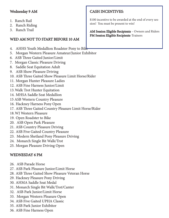#### Wednesday 9 AM

- 1. Ranch Rail
- 2. Ranch Riding
- 3. Ranch Trail

### WED AM NOT TO START BEFORE 10 AM

- 4. AHHS Youth Medallion Roadster Pony to Bike
- 5. Morgan Western Pleasure Amateur/Junior Exhibitor
- 6. ASB Three Gaited Junior/Limit
- 7. Morgan Classic Pleasure Driving
- 8. Saddle Seat Equitation Adult
- 9. ASB Show Pleasure Driving
- 10. ASB Three Gaited Show Pleasure Limit Horse/Rider
- 11. Morgan Hunter Pleasure Ladies
- 12. ASB Fine Harness Junior/Limit
- 13.Walk Trot Hunter Equitation
- 14. MHSA Saddle Seat Medallion
- 15 ASB Western Country Pleasure
- 16. Hackney Harness Pony Open
- 17. ASB Three Gaited Country Pleasure Limit Horse/Rider
- 18.WJ Western Pleasure
- 19. Open Roadster to Bike
- 20. ASB Open Park Pleasure
- 21. ASB Country Pleasure Driving
- 22. ASB Five Gaited Country Pleasure
- 23. Modern Shetland Pony Pleasure Driving
- 24. Monarch Single Bit Walk/Trot
- 25. Morgan Pleasure Driving Open

# WEDNESDAY 6 PM

- 26. ASB Parade Horse
- 27. ASB Park Pleasure Junior/Limit Horse
- 28. ASB Three Gaited Show Pleasure Veteran Horse
- 29. Hackney Pleasure Pony Driving
- 30. AHMA Saddle Seat Medal
- 31. Monarch Single Bit Walk/Trot/Canter
- 32. ASB Park Junior/Limit Horse
- 33. Morgan Western Pleasure Open
- 34. ASB Five Gaited UPHA Classic
- 35. ASB Park Junior Exhibitor
- 36. ASB Fine Harness Open

## CASH INCENTIVES:

\$100 incentive to be awarded at the end of every session! You must be present to win!

AM Session Eligible Recipients - Owners and Riders PM Session Eligible Recipients-Trainers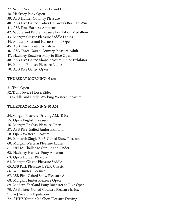- 37. Saddle Seat Equitation 17 and Under
- 38. Hackney Pony Open
- 39. ASB Hunter Country Pleasure
- 40. ASB Five Gaited Ladies Callaway's Born To Win
- 41. ASB Fine Harness Amateur
- 42. Saddle and Bridle Pleasure Equitation Medallion
- 43. Morgan Classic Pleasure Saddle Ladies
- 44. Modern Shetland Harness Pony Open
- 45. ASB Three Gaited Amateur
- 46. ASB Three Gaited Country Pleasure Adult
- 47. Hackney Roadster Pony to Bike Open
- 48. ASB Five Gaited Show Pleasure Junior Exhibitor
- 49. Morgan English Pleasure Ladies
- 50. ASB Five Gaited Open

## THURSDAY MORNING 9 am

- 51.Trail Open
- 52.Trail Novice Horse/Rider
- 53.Saddle and Bridle Working Western Pleasure

## THURSDAY MORNING 10 AM

## 54.Morgan Pleasure Driving AM/JR Ex

- 55. Open English Pleasure
- 56. Morgan English Pleasure Open
- 57. ASB Five-Gaited Junior Exhibitor
- 58. Open Western Pleasure
- 59. Monarch Single Bit 5-Gaited Show Pleasure
- 60. Morgan Western Pleasure Ladies
- 61. UPHA Challenge Cup 17 and Under
- 62. Hackney Harness Pony Amateur
- 63. Open Hunter Pleasure
- 64. Morgan Classic Pleasure Saddle
- 65.ASB Park Pleasure UPHA Classic
- 66. WT Hunter Pleasure
- 67.ASB Five-Gaited Show Pleasure Adult
- 68. Morgan Hunter Pleasure Open
- 69. Modern Shetland Pony Roadster to Bike Open
- 70. ASB Three-Gaited Country Pleasure Jr. Ex.
- 71. WJ Western Equitation
- 72. AHHS Youth Medallion Pleasure Driving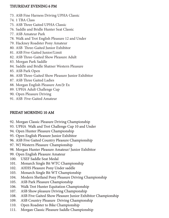#### THURSDAY EVENING 6 PM

- 73. ASB Fine Harness Driving UPHA Classic
- 74. 1 TBA Class
- 75. ASB Three Gaited UPHA Classic
- 76. Saddle and Bridle Hunter Seat Classic
- 77. ASB Amateur Park
- 78. Walk and Trot English Pleasure 12 and Under
- 79. Hackney Roadster Pony Amateur
- 80. ASB Three-Gaited Junior Exhibitor
- 81. ASB Five-Gaited Junior/Limit
- 82. ASB Three-Gaited Show Pleasure Adult
- 83. Morgan Park Saddle
- 84. Saddle and Bridle Shatner Western Pleasure
- 85. ASB Park Open
- 86. ASB Three-Gaited Show Pleasure Junior Exhibitor
- 87. ASB Three Gaited Ladies
- 88. Morgan English Pleasure Am/Jr Ex
- 89. UPHA Adult Challenge Cup
- 90. Open Pleasure Driving
- 91. ASB Five-Gaited Amateur

## FRIDAY MORNING 10 AM

- 92. Morgan Classic Pleasure Driving Championship
- 93. UPHA Walk and Trot Challenge Cup 10 and Under
- 94. Open Hunter Pleasure Championship
- 95. Open English Pleasure Junior Exhibitor
- 96. ASB Five Gaited Country Pleasure Championship
- 97. WJ Western Pleasure Championship
- 98. Morgan Hunter Pleasure Amateur/ Junior Exhibitor
- 99. Open English Pleasure Amateur
- 100. USEF Saddle Seat Medal
- 101. Monarch Single Bit WTC Championship
- 102. AHHS Pleasure Pony Under saddle
- 103. Monarch Single Bit WT Championship
- 104. Modern Shetland Pony Pleasure Driving Championship
- 105. ASB Park Pleasure Championship
- 106. Walk Trot Hunter Equitation Championship
- 107. ASB Show pleasure Driving Championship
- 108. ASB Five Gaited Show Pleasure Junior Exhibitor Championship
- 109. ASB Country Pleasure Driving Championship
- 110. Open Roadster to Bike Championship
- 111. Morgan Classic Pleasure Saddle Championship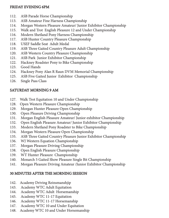#### FRIDAY EVENING 6PM

- 112. ASB Parade Horse Championship
- 113. ASB Amateur Fine Harness Championship
- 114. Morgan Western Pleasure Amateur/ Junior Exhibitor Championship
- 115. Walk and Trot English Pleasure 12 and Under Championship
- 116. Modern Shetland Pony Harness Championship
- 117. ASB Hunter Country Pleasure Championship
- 118. USEF Saddle Seat Adult Medal
- 119. ASB Three Gaited Country Pleasure Adult Championship
- 120. ASB Western Country Pleasure Championship
- 121. ASB Park Junior Exhibitor Championship
- 122. Hackney Roadster Pony to Bike Championship
- 123. Good Hands
- 124. Hackney Pony Alan R Raun DVM Memorial Championship
- 125. ASB Five Gaited Junior Exhibitor Championship
- 126. Single Pass Class

#### SATURDAY MORNING 9 AM

- 127. Walk Trot Equitation 10 and Under Championship
- 128. Open Western Pleasure Championship
- 129. Morgan Hunter Pleasure Open Championship
- 130. Open Pleasure Driving Championship
- 131. Morgan English Pleasure Amateur/ Junior exhibitor Championship
- 132. Open English Pleasure Amateur/ Junior Exhibitor Championship
- 133. Modern Shetland Pony Roadster to Bike Championship
- 134. Morgan Western Pleasure Open Championship
- 135. ASB Three Gaited Country Pleasure Junior Exhibitor Championship
- 136. WJ Western Equation Championship
- 137. Morgan Pleasure Driving Championship
- 138. Open English Pleasure Championship
- 139. WT Hunter Pleasure Championship
- 140. Monarch 5 Gaited Show Pleasure Single Bit Championship
- 141. Morgan Pleasure Driving Amateur /Junior Exhibitor Championship

#### 30 MINUTES AFTER THE MORNING SESSION

- 142. Academy Driving Reinsmanshjip
- 143. Academy WTC Adult Equitation
- 144. Academy WTC Adult Horsemanship
- 145. Academy WTC 11-17 Equitation
- 146. Academy WTC 11-17 Horsemanship
- 147. Academy WTC 10 and Under Equitation
- 148. Academy WTC 10 and Under Horsemanship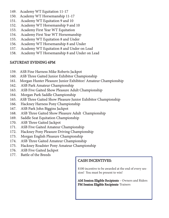- 149. Academy WT Equitation 11-17
- 150. Academy WT Horsemanship 11-17
- 151. Academy WT Equitation 9 and 10
- 152. Academy WT Horsemanship 9 and 10
- 153. Academy First Year WT Equitation
- 154. Academy First Year WT Horsemanship
- 155. Academy WT Equitation 8 and Under
- 156. Academy WT Horsemanship 8 and Under
- 157. Academy WT Equitation 8 and Under on Lead
- 158. Academy WT Horsemanship 8 and Under on Lead

# SATURDAY EVENING 6PM

- 159. ASB Fine Harness Mike Roberts Jackpot
- 160. ASB Three Gaited Junior Exhibitor Championship
- 161. Morgan Hunter Pleasure Junior Exhibitor/ Amateur Championship
- 162. ASB Park Amateur Championship
- 163. ASB Five Gaited Show Pleasure Adult Championship
- 164. Morgan Park Saddle Championship
- 165. ASB Three Gaited Show Pleasure Junior Exhibitor Championship
- 166. Hackney Harness Pony Championship
- 167. ASB Park John Biggins Jackpot
- 168. ASB Three Gaited Show Pleasure Adult Championship
- 169. Saddle Seat Equitation Championship
- 170. ASB Three Gaited Jackpot
- 171. ASB Five Gaited Amateur Championship
- 172. Hackney Pony Pleasure Driving Championship
- 173. Morgan English Pleasure Championship
- 174. ASB Three Gaited Amateur Championship
- 175. Hackney Roadster Pony Amateur Championship
- 176. ASB Five Gaited Jackpot
- 177. Battle of the Breeds

# CASH INCENTIVES:

\$100 incentive to be awarded at the end of every session! You must be present to win!

AM Session Eligible Recipients – Owners and Riders PM Session Eligible Recipients-Trainers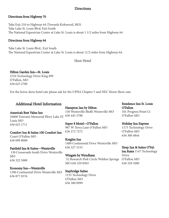#### **Directions**

#### Directions from Highway 70

Take Exit 210 to Highway 64 (Towards Kirkwood, MO) Take Lake St. Louis Blvd, Exit South The National Equestrian Center at Lake St. Louis is about 1 1/2 miles from Highway 64

#### Directions from Highway 64

Take Lake St. Louis Blvd., Exit South The National Equestrian Center at Lake St. Louis is about 11/2 miles from Highway 64.

#### Host Hotel

#### Hilton Garden Inn—St. Louis

2310 Technology Drive King \$99 O'Fallon, MO 636 625 2700

For the horse show hotel rate please ask for the UPHA Chapter 5 and NEC Horse Show rate.

#### Additional Hotel Information

America's Best Value Inn 10600 Veteran's Memorial Pkwy Lake ST. 636 445 3780 Louis MO 636 625 1711

#### Comfort Inn & Suites 100 Comfort Inn

Court O'Fallon MO 636 699 8000

Hampton Inn by Hilton 150 Wentzville Bluffs Wentzville MO

Super 8 Motel—O'Fallon 987 W Terra Lane O'Fallon MO 636 272 7272

Knights Inn 1400 Continental Drive Wentzville MO 636 327 5155

32 Research Park Circle Weldon Springs

#### Fairfield Inn & Suites—Wentzville

 130 Crossroads South Drive Wentzville MO 636 322 5000

#### Economy Inn—Wentzville

1390 Continental Drive Wentzville MO 636 877 0576

Staybridge Suites 1155 Technology Drive O'Fallon MO

636 300 0999

Wingate by Wyndham

MO 636 329 8503

Residence Inn St. Louis O'Fallon 101 Progress Point Ct O'Fallon MO

#### Holiday Inn Express

1175 Technology Drive O'Fallon MO 636 300 4844

Sleep Inn & Suites O'Fal-

lon Rates 1147 Technology Drive O'Fallon MO 636 329 1000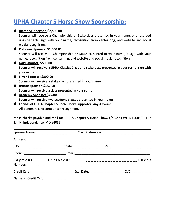# **UPHA Chapter 5 Horse Show Sponsorship:**

| Ś. | Diamond Sponsor: \$2,500.00                                                                   |
|----|-----------------------------------------------------------------------------------------------|
|    | Sponsor will receive a Championship or Stake class presented in your name, one reserved       |
|    | ringside table, sign with your name, recognition from center ring, and website and social     |
|    | media recognition.                                                                            |
| Ś. | Platinum Sponsor: \$1,000.00                                                                  |
|    | Sponsor will receive a Championship or Stake presented in your name, a sign with your         |
|    | name, recognition from center ring, and website and social media recognition.                 |
| Ć  | <b>Gold Sponsor: \$500.00</b>                                                                 |
|    | Sponsor will receive a UPHA Classics Class or a stake class presented in your name, sign with |
|    | your name.                                                                                    |
| Ś. | Silver Sponsor: \$300.00                                                                      |
|    | Sponsor will receive a Stake class presented in your name.                                    |
| Ć  | <b>Bronze Sponsor: \$150.00</b>                                                               |
|    | Sponsor will receive a class presented in your name.                                          |
| Ś. | <b>Academy Sponsor: \$75.00</b>                                                               |
|    | Sponsor will receive two academy classes presented in your name.                              |
| Ś. | <b>Friends of UPHA Chapter 5 Horse Show Supporter:</b> Any Amount                             |
|    |                                                                                               |

All donors receive announcer recognition.

Make checks payable and mail to: UPHA Chapter 5 Horse Show, c/o Chris Willis 19605 E. 11th Ter. N. Independence, MO 64056

| Sponsor Name: 1980 Class Preference 1980 Class Preference 2014                                                                                                                                                                 |  |  |                                               |
|--------------------------------------------------------------------------------------------------------------------------------------------------------------------------------------------------------------------------------|--|--|-----------------------------------------------|
|                                                                                                                                                                                                                                |  |  |                                               |
|                                                                                                                                                                                                                                |  |  |                                               |
| Phone: Email: Email: Email: Email: Email: Email: Email: Email: Email: Email: Email: Email: Email: Email: Email: Email: Email: Email: Email: Email: Email: Email: Email: Email: Email: Email: Email: Email: Email: Email: Email |  |  |                                               |
| Payment Enclosed:                                                                                                                                                                                                              |  |  | _ _ _ _ _ _ _ _ _ _ _ _ _ _ _ _ _ _ C h e c k |
|                                                                                                                                                                                                                                |  |  |                                               |
| Name on Credit Card                                                                                                                                                                                                            |  |  |                                               |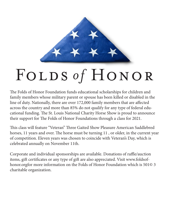

# FOLDS of HONOR

The Folds of Honor Foundation funds educational scholarships for children and family members whose military parent or spouse has been killed or disabled in the line of duty. Nationally, there are over 172,000 family members that are affected across the country and more than 85% do not qualify for any type of federal educational funding. The St. Louis National Charity Horse Show is proud to announce their support for The Folds of Honor Foundations through a class for 2021.

This class will feature "Veteran" Three Gaited Show Pleasure American Saddlebred horses, 11 years and over. The horse must be turning 11 , or older, in the current year of competition. Eleven years was chosen to coincide with Veteran's Day, which is celebrated annually on November 11th.

Corporate and individual sponsorships are available. Donations of raffle/auction items, gift certificates or any type of gift are also appreciated. Visit www.foldsofhonor.orgfor more information on the Folds of Honor Foundation which is 501© 3 charitable organization.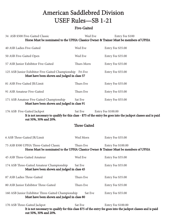# American Saddlebred Division USEF Rules—SB 1-21

#### Five-Gaited

| 34 ASB \$500 Five-Gaited Classic<br>Horse Must be nominated to the UPHA Classics Owner & Trainer Must be members of UPHA                                                                                        | Wed Eve             | Entry Fee \$100           |  |  |  |
|-----------------------------------------------------------------------------------------------------------------------------------------------------------------------------------------------------------------|---------------------|---------------------------|--|--|--|
| 40 ASB Ladies Five-Gaited                                                                                                                                                                                       | Wed Eve             | Entry Fee \$35.00         |  |  |  |
| 50 ASB Five-Gaited Open                                                                                                                                                                                         | Wed Eve             | Entry Fee \$35.00         |  |  |  |
| 57 ASB Junior Exhibitor Five-Gaited                                                                                                                                                                             | Thurs Morn          | Entry Fee \$35.00         |  |  |  |
| 125 ASB Junior Exhibitor Five-Gaited Championship Fri Eve<br>Must have been shown and judged in class 57                                                                                                        |                     | Entry Fee \$55.00         |  |  |  |
| 81 ASB Five-Gaited JR/Limit                                                                                                                                                                                     | Thurs Eve           | Entry Fee \$35.00         |  |  |  |
| 91 ASB Amateur Five-Gaited                                                                                                                                                                                      | Thurs Eve           | Entry Fee \$35.00         |  |  |  |
| 171 ASB Amateur Five Gaited Championship<br>Must have been shown and judged in class 91                                                                                                                         | Sat Eve             | Entry Fee \$55.00         |  |  |  |
| 176 ASB Five-Gaited Jackpot<br>Sat Eve<br><b>Entry Fee \$100.00</b><br>It is not necessary to qualify for this class - \$75 of the entry fee goes into the jackpot classes and is paid<br>out 50%, 30% and 20%. |                     |                           |  |  |  |
|                                                                                                                                                                                                                 | <b>Three Gaited</b> |                           |  |  |  |
|                                                                                                                                                                                                                 |                     |                           |  |  |  |
| 6 ASB Three-Gaited JR/Limit                                                                                                                                                                                     | Wed Morn            | Entry Fee \$35.00         |  |  |  |
| 75 ASB \$500 UPHA Three-Gaited Classic<br>Horse Must be nominated to the UPHA Classics Owner & Trainer Must be members of UPHA                                                                                  | Thurs Eve           | <b>Entry Fee \$100.00</b> |  |  |  |
| 45 ASB Three-Gaited Amateur                                                                                                                                                                                     | Wed Eve             | Entry Fee \$35.00         |  |  |  |
| 174 ASB Three-Gaited Amateur Championship<br>Must have been shown and judged in class 45                                                                                                                        | Sat Eve             | Entry Fee \$55.00         |  |  |  |
| 87 ASB Ladies Three-Gaited                                                                                                                                                                                      | Thurs Eve           | Entry Fee \$35.00         |  |  |  |
| 80 ASB Junior Exhibitor Three-Gaited                                                                                                                                                                            | Thurs Eve           | Entry Fee \$35.00         |  |  |  |
| 160 ASB Junior Exhibitor Three-Gaited Championship<br>Must have been shown and judged in class 80                                                                                                               | Sat Eve             | Entry Fee \$55.00         |  |  |  |

 It is not necessary to qualify for this class \$75 of the entry fee goes into the jackpot classes and is paid out 50%, 30% and 20%.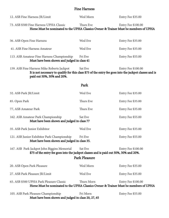#### Fine Harness

| 12. ASB Fine Harness JR/Limit                                                                                                                                                                                                | Wed Morn   | Entry Fee \$35.00         |  |  |  |
|------------------------------------------------------------------------------------------------------------------------------------------------------------------------------------------------------------------------------|------------|---------------------------|--|--|--|
| 73. ASB \$500 Fine Harness UPHA Classic<br>Thurs Eve<br><b>Entry Fee \$100.00</b><br>Horse Must be nominated to the UPHA Classics Owner & Trainer Must be members of UPHA                                                    |            |                           |  |  |  |
| 36. ASB Open Fine Harness                                                                                                                                                                                                    | Wed Eve    | Entry Fee \$35.00         |  |  |  |
| 41. ASB Fine Harness Amateur                                                                                                                                                                                                 | Wed Eve    | Entry Fee \$35.00         |  |  |  |
| 113. ASB Amateur Fine Harness Championship<br>Must have been shown and judged in class 41                                                                                                                                    | Fri Eve    | Entry Fee \$55.00         |  |  |  |
| Sat Eve<br>159. ASB Fine Harness Mike Roberts Jackpot<br><b>Entry Fee \$100.00</b><br>It is not necessary to qualify for this class \$75 of the entry fee goes into the jackpot classes and is<br>paid out 50%, 30% and 20%. |            |                           |  |  |  |
|                                                                                                                                                                                                                              | Park       |                           |  |  |  |
| 32. ASB Park JR/Limit                                                                                                                                                                                                        | Wed Eve    | Entry Fee \$35.00         |  |  |  |
| 85. Open Park                                                                                                                                                                                                                | Thurs Eve  | Entry Fee \$35.00         |  |  |  |
| 77, ASB Amateur Park                                                                                                                                                                                                         | Thurs Eve  | Entry Fee \$35.00         |  |  |  |
| 162. ASB Amateur Park Championship<br>Must have been shown and judged in class 77                                                                                                                                            | Sat Eve    | Entry Fee \$55.00         |  |  |  |
| 35. ASB Park Junior Exhibitor                                                                                                                                                                                                | Wed Eve    | Entry Fee \$35.00         |  |  |  |
| 121. ASB Junior Exhibitor Park Championship<br>Must have been shown and judged in class 35.                                                                                                                                  | Fri Eve    | Entry Fee \$55.00         |  |  |  |
| 167. ASB Park Jackpot John Biggins Memorial<br>Sat Eve<br><b>Entry Fee \$100.00</b><br>\$75 of the entry fee goes into the jackpot classes and is paid out 50%, 30% and 20%.<br><b>Park Pleasure</b>                         |            |                           |  |  |  |
| 20. ASB Open Park Pleasure                                                                                                                                                                                                   | Wed Morn   | Entry Fee \$35.00         |  |  |  |
| 27. ASB Park Pleasure JR/Limit                                                                                                                                                                                               | Wed Eve    | Entry Fee \$35.00         |  |  |  |
| 65. ASB \$500 UPHA Park Pleasure Classic<br>Horse Must be nominated to the UPHA Classics Owner & Trainer Must be members of UPHA                                                                                             | Thurs Morn | <b>Entry Fee \$100.00</b> |  |  |  |
| 105. ASB Park Pleasure Championship<br>Must have been shown and judged in class 20, 27, 65                                                                                                                                   | Fri Morn   | Entry Fee \$55.00         |  |  |  |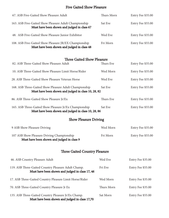#### Five Gaited Show Pleasure

| 67. ASB Five-Gaited Show Pleasure Adult                                                                       | Thurs Morn | Entry Fee \$35.00 |  |  |
|---------------------------------------------------------------------------------------------------------------|------------|-------------------|--|--|
| 163. ASB Five-Gaited Show Pleasure Adult Championship<br>Must have been shown and judged in class 67          | Sat Eve    | Entry Fee \$55.00 |  |  |
| 48. ASB Five-Gaited Show Pleasure Junior Exhibitor                                                            | Wed Eve    | Entry Fee \$35.00 |  |  |
| 108. ASB Five-Gaited Show Pleasure JR/EX Championship<br>Must have been shown and judged in class 48          | Fri Morn   | Entry Fee \$55.00 |  |  |
| <b>Three Gaited Show Pleasure</b>                                                                             |            |                   |  |  |
| 82. ASB Three-Gaited Show Pleasure Adult                                                                      | Thurs Eve  | Entry Fee \$35.00 |  |  |
| 10. ASB Three-Gaited Show Pleasure Limit Horse/Rider                                                          | Wed Morn   | Entry Fee \$35.00 |  |  |
| 28. ASB Three-Gaited Show Pleasure Veteran Horse                                                              | Wed Eve    | Entry Fee \$35.00 |  |  |
| 168. ASB Three-Gaited Show Pleasure Adult Championship<br>Must have been shown and judged in class 10, 28, 82 | Sat Eve    | Entry Fee \$55.00 |  |  |
| 86. ASB Three-Gaited Show Pleasure Jr/Ex                                                                      | Thurs Eve  | Entry Fee \$35.00 |  |  |
| 165. ASB Three-Gaited Show Pleasure Jr/Ex Championship<br>Must have been shown and judged in class 10, 28, 86 | Sat Eve    | Entry Fee \$55.00 |  |  |
| <b>Show Pleasure Driving</b>                                                                                  |            |                   |  |  |
| 9 ASB Show Pleasure Driving                                                                                   | Wed Morn   | Entry Fee \$35.00 |  |  |
| 107 ASB Show Pleasure Driving Championship<br>Must have been shown and judged in class 9                      | Fri Morn   | Entry Fee \$55.00 |  |  |
| <b>Three Gaited Country Pleasure</b>                                                                          |            |                   |  |  |
| 46. ASB Country Pleasure Adult                                                                                | Wed Eve    | Entry Fee \$35.00 |  |  |
| 119. ASB Three-Gaited Country Pleasure Adult Champ.<br>Must have been shown and judged in class 17, 46        | Fri Eve    | Entry Fee \$55.00 |  |  |
| 17. ASB Three-Gaited Country Pleasure Limit Horse/Rider                                                       | Wed Morn   | Entry Fee \$35.00 |  |  |
| 70. ASB Three-Gaited Country Pleasure Jr Ex                                                                   | Thurs Morn | Entry Fee \$35.00 |  |  |

135. ASB Three-Gaited Country Pleasure Jr/Ex Champ. Sat Morn Entry Fee \$55.00 Must have been shown and judged in class 17,70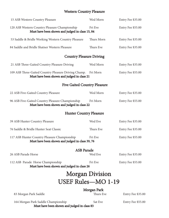# Western Country Pleasure

| 15 ASB Western Country Pleasure                                                                     | Wed Morn                            | Entry Fee \$35.00 |
|-----------------------------------------------------------------------------------------------------|-------------------------------------|-------------------|
| 120 ASB Western Country Pleasure Championship<br>Must have been shown and judged in class 15, 84    | Fri Eve                             | Entry Fee \$55.00 |
| 53 Saddle & Bridle Working Western Country Pleasure                                                 | Thurs Morn                          | Entry Fee \$35.00 |
| 84 Saddle and Bridle Shatner Western Pleasure                                                       | Thurs Eve                           | Entry Fee \$35.00 |
|                                                                                                     | <b>Country Pleasure Driving</b>     |                   |
| 21 ASB Three-Gaited Country Pleasure Driving                                                        | Wed Morn                            | Entry Fee \$35.00 |
| 109 ASB Three-Gaited Country Pleasure Driving Champ.<br>Must have been shown and judged in class 21 | Fri Morn                            | Entry Fee \$55.00 |
|                                                                                                     | <b>Five Gaited Country Pleasure</b> |                   |
| 22 ASB Five-Gaited Country Pleasure                                                                 | Wed Morn                            | Entry Fee \$35.00 |
| 96 ASB Five-Gaited Country Pleasure Championship<br>Must have been shown and judged in class 22     | Fri Morn                            | Entry Fee \$55.00 |
|                                                                                                     | <b>Hunter Country Pleasure</b>      |                   |
| 39 ASB Hunter Country Pleasure                                                                      | Wed Eve                             | Entry Fee \$35.00 |
| 76 Saddle & Bridle Hunter Seat Classic                                                              | Thurs Eve                           | Entry Fee \$35.00 |
| 117 ASB Hunter Country Pleasure Championship<br>Must have been shown and judged in class 39, 76     | Fri Eve                             | Entry Fee \$55.00 |
|                                                                                                     | <b>ASB Parade</b>                   |                   |
| 26 ASB Parade Horse                                                                                 | Wed Eve                             | Entry Fee \$35.00 |
| 112 ASB Parade Horse Championship<br>Must have been shown and judged in class 26                    | Fri Eve                             | Entry Fee \$55.00 |
|                                                                                                     | <b>Morgan Division</b>              |                   |
|                                                                                                     | <b>USEF Rules-MO 1-19</b>           |                   |
| 83 Morgan Park Saddle                                                                               | <b>Morgan Park</b><br>Thurs Eve     | Entry Fee \$35.00 |
| 164 Morgan Park Saddle Championship<br>Must have been shown and judged in class 83                  | Sat Eve                             | Entry Fee \$55.00 |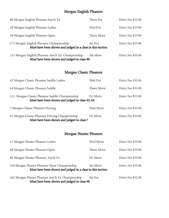# Morgan English Pleasure

| 88 Morgan English Pleasure Am/Jr Ex                                                                    | Thurs Eve  | Entry Fee \$35.00 |  |  |
|--------------------------------------------------------------------------------------------------------|------------|-------------------|--|--|
| 49 Morgan English Pleasure Ladies                                                                      | Wed Eve    | Entry Fee \$35.00 |  |  |
| 56 Morgan English Pleasure Open                                                                        | Thurs Morn | Entry Fee \$35.00 |  |  |
| 173 Morgan English Pleasure Championship<br>Must have been shown and judged in a class in this section | Sat Eve    | Entry Fee \$55.00 |  |  |
| 131 Morgan English Pleasure Am/Jr Ex Championship<br>Must have been shown and judged in class 88       | Sat Morn   | Entry Fee \$55.00 |  |  |
| <b>Morgan Classic Pleasure</b>                                                                         |            |                   |  |  |
| 43 Morgan Classic Pleasure Saddle Ladies                                                               | Wed Eve    | Entry Fee \$35.00 |  |  |
| 64 Morgan Classic Pleasure Saddle                                                                      | Thurs Morn | Entry Fee \$35.00 |  |  |
| 111 Morgan Classic Pleasure Saddle Championship<br>Must have been shown and judged in class 43, 64     | Fri Morn   | Entry Fee \$55.00 |  |  |
| 7 Morgan Classic Pleasure Driving                                                                      | Wed Morn   | Entry Fee \$35.00 |  |  |
| 92 Morgan Classic Pleasure Driving Championship<br>Must have been shown and judged in class 7          | Fri Morn   | Entry Fee \$55.00 |  |  |

# Morgan Hunter Pleasure

| Must have been shown and judged in class 98                                                                |            |                   |
|------------------------------------------------------------------------------------------------------------|------------|-------------------|
| 161 Morgan Hunter Pleasure Am/Jr Ex Championship                                                           | Sat Eve    | Entry Fee \$55.00 |
| 129 Morgan Hunter Pleasure Open Championship<br>Must have been shown and judged in a class in this section | Sat Morn   | Entry Fee \$55.00 |
| 98 Morgan Hunter Pleasure Am/Jr Ex                                                                         | Fri Morn   | Entry Fee \$35.00 |
| 68 Morgan Hunter Pleasure Open                                                                             | Thurs Morn | Entry Fee \$35.00 |
| 11 Morgan Hunter Pleasure Ladies                                                                           | Wed Morn   | Entry Fee \$35.00 |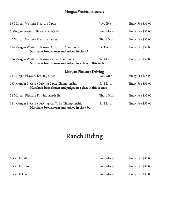# Morgan Western Pleasure

| 33 Morgan Western Pleasure Open                                                                             | Wed Eve    | Entry Fee \$35.00 |
|-------------------------------------------------------------------------------------------------------------|------------|-------------------|
| 5 Morgan Western Pleasure Am/Jr Ex                                                                          | Wed Morn   | Entry Fee \$35.00 |
| 60 Morgan Western Pleasure Ladies                                                                           | Thurs Morn | Entry Fee \$35.00 |
| 114 Morgan Western Pleasure Am/Jr Ex Championship<br>Must have been shown and judged in class 5             | Fri Eve    | Entry Fee \$55.00 |
| 134 Morgan Western Pleasure Open Championship<br>Must have been shown and judged in a class in this section | Sat Morn   | Entry Fee \$55.00 |
| <b>Morgan Pleasure Driving</b>                                                                              |            |                   |
| 25 Morgan Pleasure Driving Open                                                                             | Wed Mor    | Entry Fee \$35.00 |
| 137 Morgan Pleasure Driving Open Championship<br>Must have been shown and judged in a class in this section | Sat Morn   | Entry Fee \$55.00 |
| 54 Morgan Pleasure Driving Am/Jr Ex                                                                         | Thurs Morn | Entry Fee \$35.00 |
| 141 Morgan Pleasure Driving Am/Jr Ex Championship<br>Must have been shown and judged in class 54            | Sat Morn   | Entry Fee \$55.00 |

# Ranch Riding

| 1 Ranch Rail   | Wed Morn | Entry Fee \$35.00 |
|----------------|----------|-------------------|
| 2 Ranch Riding | Wed Morn | Entry Fee \$35.00 |
| 3 Ranch Trail  | Wed Morn | Entry Fee \$35.00 |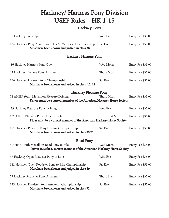# Hackney/ Harness Pony Division USEF Rules—HK 1-15

# Hackney Pony

| 38 Hackney Pony Open                                                                                                                              | Wed Eve    | Entry Fee \$35.00 |
|---------------------------------------------------------------------------------------------------------------------------------------------------|------------|-------------------|
| 124 Hackney Pony Alan R Raun DVM Memorial Championship<br>Must have been shown and judged in class 38                                             | Fri Eve    | Entry Fee \$55.00 |
| <b>Hackney Harness Pony</b>                                                                                                                       |            |                   |
| 16 Hackney Harness Pony Open                                                                                                                      | Wed Morn   | Entry Fee \$35.00 |
| 62 Hackney Harness Pony Amateur                                                                                                                   | Thurs Morn | Entry Fee \$35.00 |
| 166 Hackney Harness Pony Championship<br>Must have been shown and judged in class 16, 62                                                          | Sat Eve    | Entry Fee \$55.00 |
| <b>Hackney Pleasure Pony</b><br>72 AHHS Youth Medallion Pleasure Driving<br>Driver must be a current member of the American Hackney Horse Society | Thurs Morn | Entry Fee \$35.00 |
| 29 Hackney Pleasure Pony Driving                                                                                                                  | Wed Eve    | Entry Fee \$35.00 |
| 102 AHHS Pleasure Pony Under Saddle<br>Rider must be a current member of the American Hackney Horse Society                                       | Fri Morn   | Entry Fee \$35.00 |
| 172 Hackney Pleasure Pony Driving Championship<br>Must have been shown and judged in class 29,72                                                  | Sat Eve    | Entry Fee \$55.00 |
| <b>Road Pony</b>                                                                                                                                  |            |                   |
| 4 AHHS Youth Medallion Road Pony to Bike<br>Driver must be a current member of the American Hackney Horse Society                                 | Wed Morn   | Entry Fee \$35.00 |
| 47 Hackney Open Roadster Pony to Bike                                                                                                             | Wed Eve    | Entry Fee \$35.00 |
| 122 Hackney Open Roadster Pony to Bike Championship<br>Must have been shown and judged in class 49                                                | Fri Eve    | Entry Fee \$55.00 |
| 79 Hackney Roadster Pony Amateur                                                                                                                  | Thurs Eve  | Entry Fee \$35.00 |
| 175 Hackney Roadster Pony Amateur Championship<br>Must have been shown and judged in class 72                                                     | Sat Eve    | Entry Fee \$55.00 |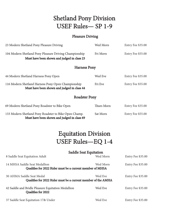# Shetland Pony Division USEF Rules— SP 1-9

## Pleasure Driving

| 23 Modern Shetland Pony Pleasure Driving                                                              | Wed Morn          | Entry Fee \$35.00 |  |  |
|-------------------------------------------------------------------------------------------------------|-------------------|-------------------|--|--|
| 104 Modern Shetland Pony Pleasure Driving Championship<br>Must have been shown and judged in class 23 | Fri Morn          | Entry Fee \$55.00 |  |  |
| <b>Harness Pony</b>                                                                                   |                   |                   |  |  |
| 44 Modern Shetland Harness Pony Open                                                                  | Wed Eve           | Entry Fee \$35.00 |  |  |
| 116 Modern Shetland Harness Pony Open Championship<br>Must have been shown and judged in class 44     | Fri Eve           | Entry Fee \$55.00 |  |  |
| <b>Roadster Pony</b>                                                                                  |                   |                   |  |  |
| 69 Modern Shetland Pony Roadster to Bike Open                                                         | <b>Thurs Morn</b> | Entry Fee \$35.00 |  |  |
| 133 Modern Shetland Pony Roadster to Bike Open Champ.<br>Must have been shown and judged in class 69  | Sat Morn          | Entry Fee \$55.00 |  |  |

# Equitation Division USEF Rules—EQ 1-4

|                                                                                            | <b>Saddle Seat Equitation</b> |                   |
|--------------------------------------------------------------------------------------------|-------------------------------|-------------------|
| 8 Saddle Seat Equitation Adult                                                             | Wed Morn                      | Entry Fee \$35.00 |
| 14 MHSA Saddle Seat Medallion<br>Qualifies for 2022 Rider must be a current member of MHSA | Wed Morn                      | Entry Fee \$35.00 |
| 30 AHMA Saddle Seat Medal<br>Qualifies for 2022 Rider must be a current member of the AMHA | Wed Eve                       | Entry Fee \$35.00 |
| 42 Saddle and Bridle Pleasure Equitation Medallion<br>Qualifies for 2022                   | Wed Eve                       | Entry Fee \$35.00 |
| 37 Saddle Seat Equitation 17& Under                                                        | Wed Eve                       | Entry Fee \$35.00 |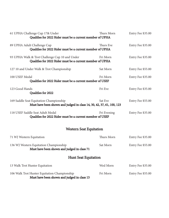| 61 UPHA Challenge Cup 17& Under<br>Qualifies for 2022 Rider must be a current member of UPHA                     | Thurs Morn  | Entry Fee \$35.00 |
|------------------------------------------------------------------------------------------------------------------|-------------|-------------------|
| 89 UPHA Adult Challenge Cup<br>Qualifies for 2022 Rider must be a current member of UPHA                         | Thurs Eve   | Entry Fee \$35.00 |
| 93 UPHA Walk & Trot Challenge Cup 10 and Under<br>Qualifies for 2022 Rider must be a current member of UPHA      | Fri Morn    | Entry Fee \$35.00 |
| 127 10 and Under Walk & Trot Championship                                                                        | Sat Morn    | Entry Fee \$55.00 |
| 100 USEF Medal<br>Qualifies for 2022 Rider must be a current member of USEF                                      | Fri Morn    | Entry Fee \$35.00 |
| 123 Good Hands<br>Qualifies for 2022                                                                             | Fri Eve     | Entry Fee \$35.00 |
| 169 Saddle Seat Equitation Championship<br>Must have been shown and judged in class 14, 30, 42, 37, 61, 100, 123 | Sat Eve     | Entry Fee \$55.00 |
| 118 USEF Saddle Seat Adult Medal<br>Qualifies for 2022 Rider must be a current member of USEF                    | Fri Evening | Entry Fee \$35.00 |
| <b>Western Seat Equitation</b>                                                                                   |             |                   |
| 71 WJ Western Equitation                                                                                         | Thurs Morn  | Entry Fee \$35.00 |
| 136 WJ Western Equitation Championship<br>Must have been shown and judged in class 71                            | Sat Morn    | Entry Fee \$55.00 |
| <b>Hunt Seat Equitation</b>                                                                                      |             |                   |
| 13 Walk Trot Hunter Equitation                                                                                   | Wed Morn    | Entry Fee \$35.00 |
| 106 Walk Trot Hunter Equitation Championship<br>Must have been shown and judged in class 13                      | Fri Morn    | Entry Fee \$55.00 |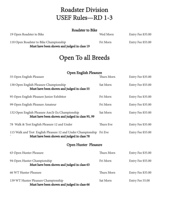# Roadster Division USEF Rules—RD 1-3

#### Roadster to Bike

19 Open Roadster to Bike Wed Morn Entry Fee \$35.00

110 Open Roadster to Bike Championship Fri Morn Entry Fee \$55.00 Must have been shown and judged in class 19

# Open To all Breeds

# **Open English Pleasure**

| 55 Open English Pleasure                                                                                            | Thurs Morn | Entry Fee \$35.00 |
|---------------------------------------------------------------------------------------------------------------------|------------|-------------------|
| 138 Open English Pleasure Championship<br>Must have been shown and judged in class 55                               | Sat Morn   | Entry Fee \$55.00 |
| 95 Open English Pleasure Junior Exhibitor                                                                           | Fri Morn   | Entry Fee \$35.00 |
| 99 Open English Pleasure Amateur                                                                                    | Fri Morn   | Entry Fee \$35.00 |
| 132 Open English Pleasure Am/Jr Ex Championship<br>Must have been shown and judged in class 95, 99                  | Sat Morn   | Entry Fee \$55.00 |
| 78 Walk & Trot English Pleasure 12 and Under                                                                        | Thurs Eve  | Entry Fee \$35.00 |
| 115 Walk and Trot English Pleasure 12 and Under Championship Fri Eve<br>Must have been shown and judged in class 78 |            | Entry Fee \$55.00 |
| <b>Open Hunter Pleasure</b>                                                                                         |            |                   |
| 63 Open Hunter Pleasure                                                                                             | Thurs Morn | Entry Fee \$35.00 |
| 94 Open Hunter Championship<br>Must have been shown and judged in class 63                                          | Fri Morn   | Entry Fee \$55.00 |
| 66 WT Hunter Pleasure                                                                                               | Thurs Morn | Entry Fee \$35.00 |
| 139 WT Hunter Pleasure Championship<br>Must have been shown and judged in class 66                                  | Sat Morn   | Entry Fee 55.00   |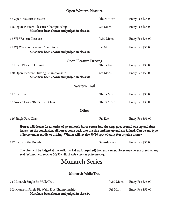# Open Western Pleasure

| 58 Open Western Pleasure                                                                                                                                                                                                                                                                                              | Thurs Morn   | Entry Fee \$35.00 |
|-----------------------------------------------------------------------------------------------------------------------------------------------------------------------------------------------------------------------------------------------------------------------------------------------------------------------|--------------|-------------------|
| 128 Open Western Pleasure Championship<br>Must have been shown and judged in class 58                                                                                                                                                                                                                                 | Sat Morn     | Entry Fee \$55.00 |
| 18 WJ Western Pleasure                                                                                                                                                                                                                                                                                                | Wed Morn     | Entry Fee \$35.00 |
| 97 WJ Western Pleasure Championship<br>Must have been shown and judged in class 18                                                                                                                                                                                                                                    | Fri Morn     | Entry Fee \$55.00 |
| <b>Open Pleasure Driving</b>                                                                                                                                                                                                                                                                                          |              |                   |
| 90 Open Pleasure Driving                                                                                                                                                                                                                                                                                              | Thurs Eve    | Entry Fee \$35.00 |
| 130 Open Pleasure Driving Championship<br>Must have been shown and judged in class 90                                                                                                                                                                                                                                 | Sat Morn     | Entry Fee \$55.00 |
| <b>Western Trail</b>                                                                                                                                                                                                                                                                                                  |              |                   |
| 51 Open Trail                                                                                                                                                                                                                                                                                                         | Thurs Morn   | Entry Fee \$35.00 |
| 52 Novice Horse/Rider Trail Class                                                                                                                                                                                                                                                                                     | Thurs Morn   | Entry Fee \$35.00 |
| Other                                                                                                                                                                                                                                                                                                                 |              |                   |
| 126 Single Pass Class                                                                                                                                                                                                                                                                                                 | Fri Eve      | Entry Fee \$55.00 |
| Horses will drawn for an order of go and each horse comes into the ring, goes around one lap and then<br>leaves. At the conclusion, all horses come back into the ring and line up and are judged. Can be any type<br>of horse under saddle or driving. Winner will receive 50/50 split of entry fees as prize money. |              |                   |
| 177 Battle of the Breeds                                                                                                                                                                                                                                                                                              | Saturday eve | Entry Fee \$55.00 |
| The class will be judged at the walk (no flat walk required) trot and canter. Horse may be any breed or any<br>seat. Winner will receive 50/50 split of entry fees as prize money.                                                                                                                                    |              |                   |
| <b>Monarch Series</b>                                                                                                                                                                                                                                                                                                 |              |                   |
| Monarch Walk/Trot                                                                                                                                                                                                                                                                                                     |              |                   |
| 24 Monarch Single Bit Walk/Trot                                                                                                                                                                                                                                                                                       | Wed Morn     | Entry Fee \$35.00 |
| 103 Monarch Single Bit Walk/Trot Championship<br>Must have been shown and judged in class 24                                                                                                                                                                                                                          | Fri Morn     | Entry Fee \$55.00 |